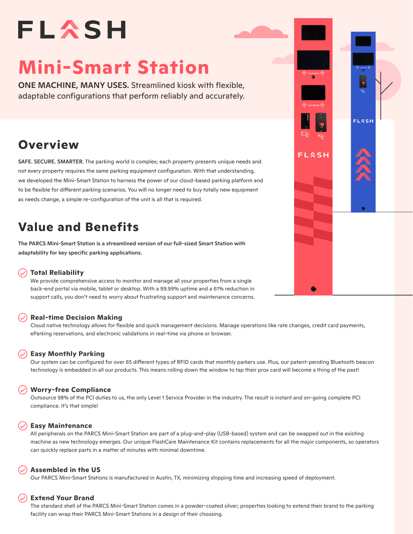# FLASH

# **Mini-Smart Station**

ONE MACHINE, MANY USES. Streamlined kiosk with flexible, adaptable configurations that perform reliably and accurately.

# **Overview**

SAFE. SECURE. SMARTER. The parking world is complex; each property presents unique needs and not every property requires the same parking equipment configuration. With that understanding, we developed the Mini-Smart Station to harness the power of our cloud-based parking platform and to be flexible for different parking scenarios. You will no longer need to buy totally new equipment as needs change, a simple re-configuration of the unit is all that is required.

# **Value and Benefits**

The PARCS Mini-Smart Station is a streamlined version of our full-sized Smart Station with adaptability for key specific parking applications.

#### **Total Reliability**

We provide comprehensive access to monitor and manage all your properties from a single back-end portal via mobile, tablet or desktop. With a 99.99% uptime and a 61% reduction in support calls, you don't need to worry about frustrating support and maintenance concerns.

#### **Real-time Decision Making**

Cloud native technology allows for flexible and quick management decisions. Manage operations like rate changes, credit card payments, eParking reservations, and electronic validations in real-time via phone or browser.

#### **Easy Monthly Parking**

Our system can be configured for over 65 different types of RFID cards that monthly parkers use. Plus, our patent-pending Bluetooth beacon technology is embedded in all our products. This means rolling down the window to tap their prox card will become a thing of the past!

#### **Worry-free Compliance**

Outsource 98% of the PCI duties to us, the only Level 1 Service Provider in the industry. The result is instant and on-going complete PCI compliance. It's that simple!

#### **Easy Maintenance**

All peripherals on the PARCS Mini-Smart Station are part of a plug-and-play (USB-based) system and can be swapped out in the existing machine as new technology emerges. Our unique FlashCare Maintenance Kit contains replacements for all the major components, so operators can quickly replace parts in a matter of minutes with minimal downtime.

#### **Assembled in the US**

Our PARCS Mini-Smart Stations is manufactured in Austin, TX, minimizing shipping time and increasing speed of deployment.

#### **Extend Your Brand**

The standard shell of the PARCS Mini-Smart Station comes in a powder-coated silver; properties looking to extend their brand to the parking facility can wrap their PARCS Mini-Smart Stations in a design of their choosing.